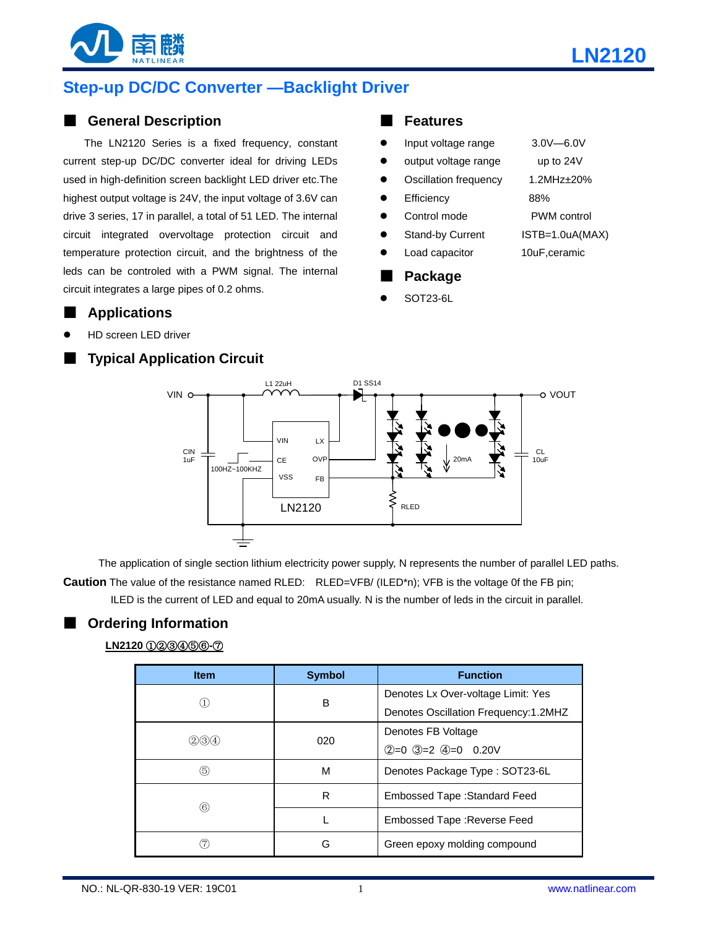



# **Step-up DC/DC Converter —Backlight Driver**

### ■ **General Description**

The LN2120 Series is a fixed frequency, constant current step-up DC/DC converter ideal for driving LEDs used in high-definition screen backlight LED driver etc.The highest output voltage is 24V, the input voltage of 3.6V can drive 3 series, 17 in parallel, a total of 51 LED. The internal circuit integrated overvoltage protection circuit and temperature protection circuit, and the brightness of the leds can be controled with a PWM signal. The internal circuit integrates a large pipes of 0.2 ohms.

## ■ **Applications**

HD screen LED driver

## **Typical Application Circuit**

#### ■ **Features**

|   | Packane                 |                     |
|---|-------------------------|---------------------|
|   | Load capacitor          | 10uF,ceramic        |
|   | <b>Stand-by Current</b> | ISTB=1.0uA(MAX)     |
|   | Control mode            | <b>PWM</b> control  |
|   | Efficiency              | 88%                 |
|   | Oscillation frequency   | $1.2$ MHz $\pm$ 20% |
|   | output voltage range    | up to 24V           |
| c | Input voltage range     | $3.0V - 6.0V$       |

- **Package**
- SOT23-6L



The application of single section lithium electricity power supply, N represents the number of parallel LED paths. **Caution** The value of the resistance named RLED: RLED=VFB/ (ILED\*n); VFB is the voltage 0f the FB pin; ILED is the current of LED and equal to 20mA usually. N is the number of leds in the circuit in parallel.

## ■ **Ordering Information LN2120** ①②③④⑤⑥**-**⑦

| <b>Item</b> | <b>Symbol</b> | <b>Function</b>                       |  |  |
|-------------|---------------|---------------------------------------|--|--|
|             | в             | Denotes Lx Over-voltage Limit: Yes    |  |  |
|             |               | Denotes Oscillation Frequency: 1.2MHZ |  |  |
| (2)(3)(4)   | 020           | Denotes FB Voltage                    |  |  |
|             |               | $(2=0$ 3=2 4=0 0.20V                  |  |  |
| (5)         | М             | Denotes Package Type: SOT23-6L        |  |  |
| (6)         | R             | Embossed Tape: Standard Feed          |  |  |
|             |               | Embossed Tape : Reverse Feed          |  |  |
|             | G             | Green epoxy molding compound          |  |  |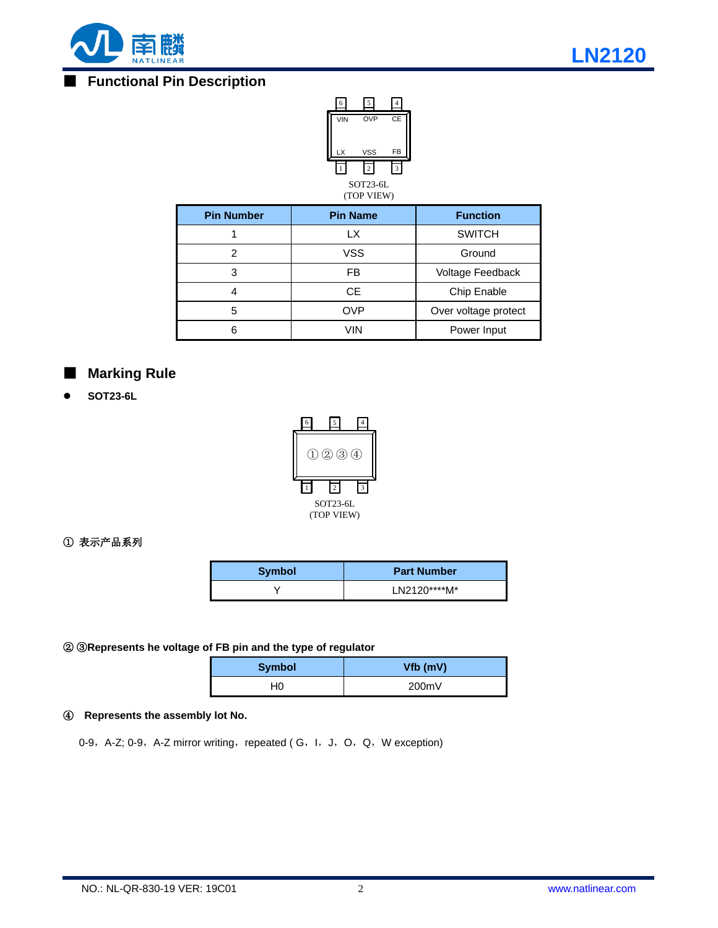

## **Functional Pin Description**



| <b>Pin Number</b> | <b>Pin Name</b> | <b>Function</b>      |  |  |
|-------------------|-----------------|----------------------|--|--|
|                   | LX.             | <b>SWITCH</b>        |  |  |
| 2                 | VSS             | Ground               |  |  |
| 3                 | FB              | Voltage Feedback     |  |  |
|                   | CE.             | Chip Enable          |  |  |
| 5                 | <b>OVP</b>      | Over voltage protect |  |  |
|                   | VIN             | Power Input          |  |  |

## **Marking Rule**

**SOT23-6L**



#### ① 表示产品系列

| Symbol | <b>Part Number</b> |
|--------|--------------------|
|        | $L$ N2120****M*    |

#### ② ③**Represents he voltage of FB pin and the type of regulator**

| <b>Symbol</b> | Vfb (mV) |
|---------------|----------|
| 40            | 200mV    |

#### ④ **Represents the assembly lot No.**

0-9, A-Z; 0-9, A-Z mirror writing, repeated (G, I, J, O, Q, W exception)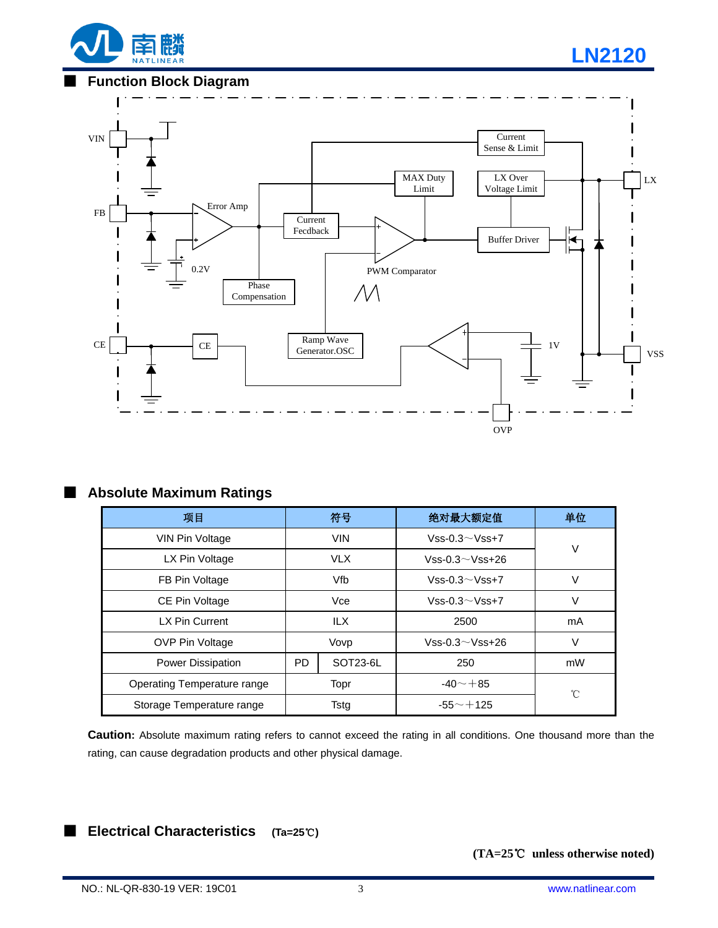

### **Function Block Diagram**



### ■ **Absolute Maximum Ratings**

| 项目                          | 符号         |          | 绝对最大额定值               | 单位 |                      |  |
|-----------------------------|------------|----------|-----------------------|----|----------------------|--|
| <b>VIN Pin Voltage</b>      | <b>VIN</b> |          | Vss-0.3 $\sim$ Vss+7  | V  |                      |  |
| LX Pin Voltage              | <b>VLX</b> |          | $Vss-0.3 \sim Vss+26$ |    |                      |  |
| FB Pin Voltage              | Vfb        |          | $Vss-0.3 \sim Vss+7$  |    |                      |  |
| CE Pin Voltage              | Vce        |          |                       |    | Vss-0.3 $\sim$ Vss+7 |  |
| LX Pin Current              | <b>ILX</b> |          | 2500                  | mA |                      |  |
| <b>OVP Pin Voltage</b>      | Vovp       |          | $Vss-0.3 \sim Vss+26$ | V  |                      |  |
| <b>Power Dissipation</b>    | PD         | SOT23-6L | 250                   | mW |                      |  |
| Operating Temperature range |            | Topr     | $-40 - +85$           | °C |                      |  |
| Storage Temperature range   | Tstg       |          | $-55 - +125$          |    |                      |  |

**Caution:** Absolute maximum rating refers to cannot exceed the rating in all conditions. One thousand more than the rating, can cause degradation products and other physical damage.

## ■ **Electrical Characteristics (Ta=25**℃**)**

**(TA=25**℃ **unless otherwise noted)**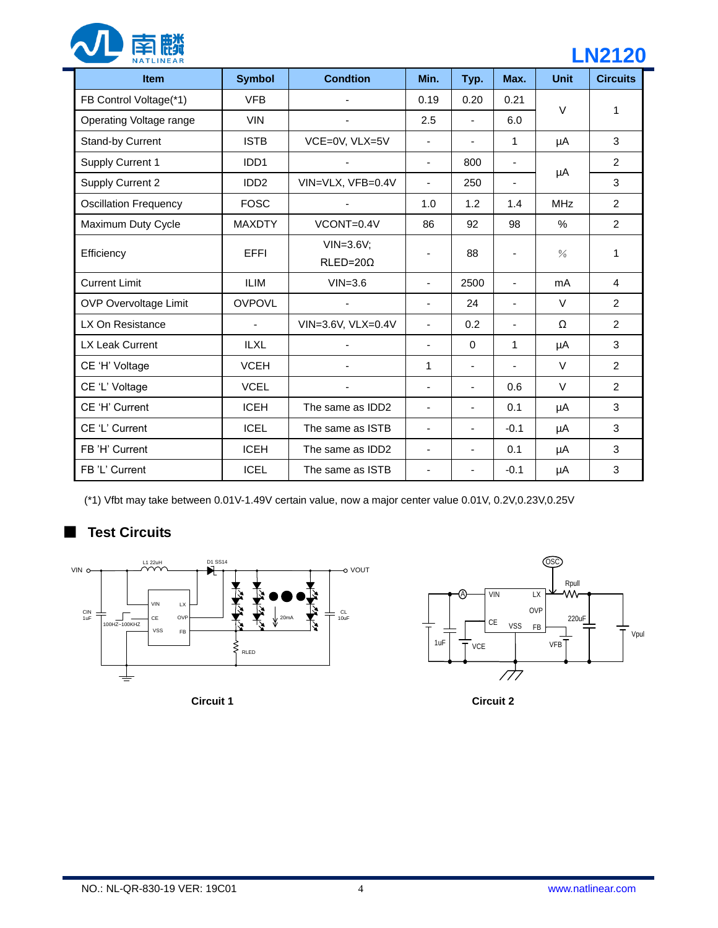

# **LN2120**

| <b>Item</b>                  | <b>Symbol</b>    | <b>Condtion</b>                  | Min.                         | Typ.                            | Max.                     | <b>Unit</b> | <b>Circuits</b> |
|------------------------------|------------------|----------------------------------|------------------------------|---------------------------------|--------------------------|-------------|-----------------|
| FB Control Voltage(*1)       | <b>VFB</b>       |                                  | 0.19                         | 0.20                            | 0.21                     | $\vee$      | 1               |
| Operating Voltage range      | <b>VIN</b>       |                                  | 2.5<br>$\blacksquare$        |                                 | 6.0                      |             |                 |
| Stand-by Current             | <b>ISTB</b>      | VCE=0V, VLX=5V                   | $\overline{\phantom{a}}$     | $\blacksquare$                  | 1                        | μA          | 3               |
| Supply Current 1             | IDD <sub>1</sub> |                                  | $\blacksquare$               | 800<br>$\overline{\phantom{a}}$ |                          |             | 2               |
| Supply Current 2             | IDD <sub>2</sub> | VIN=VLX, VFB=0.4V                | 250<br>$\blacksquare$        |                                 | $\overline{\phantom{a}}$ | μA          | 3               |
| <b>Oscillation Frequency</b> | <b>FOSC</b>      |                                  | 1.0                          | 1.2                             | 1.4                      | <b>MHz</b>  | 2               |
| Maximum Duty Cycle           | <b>MAXDTY</b>    | VCONT=0.4V                       | 86                           | 92                              | 98                       | %           | $\overline{2}$  |
| Efficiency                   | <b>EFFI</b>      | $VIN=3.6V;$<br>$RLED = 20\Omega$ | ۰                            | 88                              |                          | $\%$        | 1               |
| <b>Current Limit</b>         | <b>ILIM</b>      | $VIN = 3.6$                      | $\blacksquare$               | 2500                            | $\blacksquare$           | mA          | $\overline{4}$  |
| <b>OVP Overvoltage Limit</b> | <b>OVPOVL</b>    |                                  | $\overline{\phantom{a}}$     | 24                              | ÷,                       | $\vee$      | $\overline{2}$  |
| LX On Resistance             | $\blacksquare$   | VIN=3.6V, VLX=0.4V               | $\blacksquare$               | 0.2                             | $\blacksquare$           | Ω           | 2               |
| <b>LX Leak Current</b>       | <b>ILXL</b>      |                                  | $\qquad \qquad \blacksquare$ | 0                               | 1                        | μA          | 3               |
| CE 'H' Voltage               | <b>VCEH</b>      |                                  | 1                            | $\overline{\phantom{a}}$        | $\overline{\phantom{a}}$ | $\vee$      | $\overline{2}$  |
| CE 'L' Voltage               | <b>VCEL</b>      |                                  | $\overline{\phantom{0}}$     | $\overline{\phantom{0}}$        | 0.6                      | $\vee$      | $\overline{2}$  |
| CE 'H' Current               | <b>ICEH</b>      | The same as IDD2                 | $\overline{\phantom{a}}$     | $\overline{\phantom{a}}$        | 0.1                      | μA          | 3               |
| CE 'L' Current               | <b>ICEL</b>      | The same as ISTB                 | $\overline{\phantom{a}}$     | ٠                               | $-0.1$                   | μA          | 3               |
| FB 'H' Current               | <b>ICEH</b>      | The same as IDD2                 | $\overline{\phantom{a}}$     | $\overline{\phantom{a}}$        | 0.1                      | μA          | 3               |
| FB 'L' Current               | <b>ICEL</b>      | The same as ISTB                 |                              | ٠                               | $-0.1$                   | μA          | 3               |

(\*1) Vfbt may take between 0.01V-1.49V certain value, now a major center value 0.01V, 0.2V,0.23V,0.25V

# ■ **Test Circuits**





**Circuit 1 Circuit 2**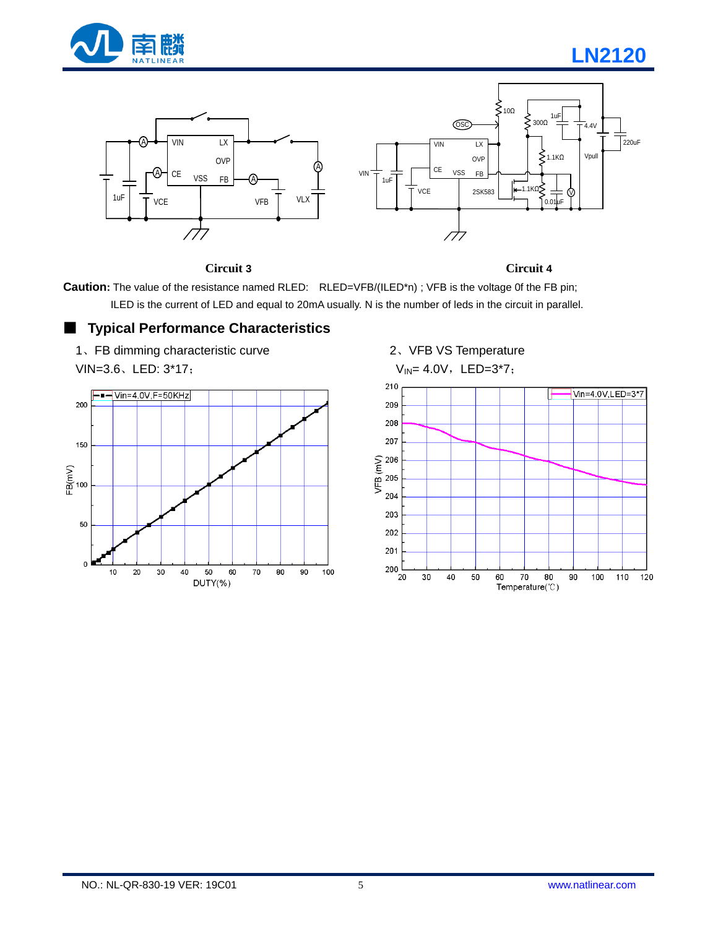

# **LN2120**



**Circuit 3 Circuit 4**

**Caution:** The value of the resistance named RLED: RLED=VFB/(ILED\*n) ; VFB is the voltage 0f the FB pin; ILED is the current of LED and equal to 20mA usually. N is the number of leds in the circuit in parallel.

## ■ **Typical Performance Characteristics**





 2、VFB VS Temperature  $V_{IN} = 4.0V$ , LED=3\*7;

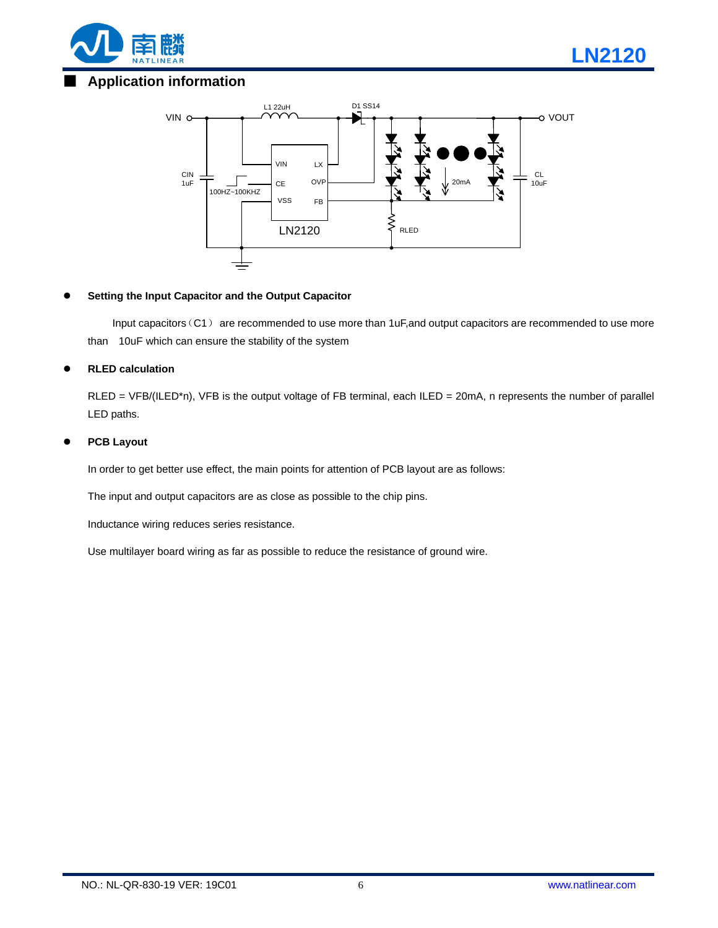

# ■ **Application information**



#### **Setting the Input Capacitor and the Output Capacitor**

Input capacitors (C1) are recommended to use more than 1uF, and output capacitors are recommended to use more than 10uF which can ensure the stability of the system

#### **RLED calculation**

RLED = VFB/(ILED\*n), VFB is the output voltage of FB terminal, each ILED = 20mA, n represents the number of parallel LED paths.

#### **PCB Layout**

In order to get better use effect, the main points for attention of PCB layout are as follows:

The input and output capacitors are as close as possible to the chip pins.

Inductance wiring reduces series resistance.

Use multilayer board wiring as far as possible to reduce the resistance of ground wire.